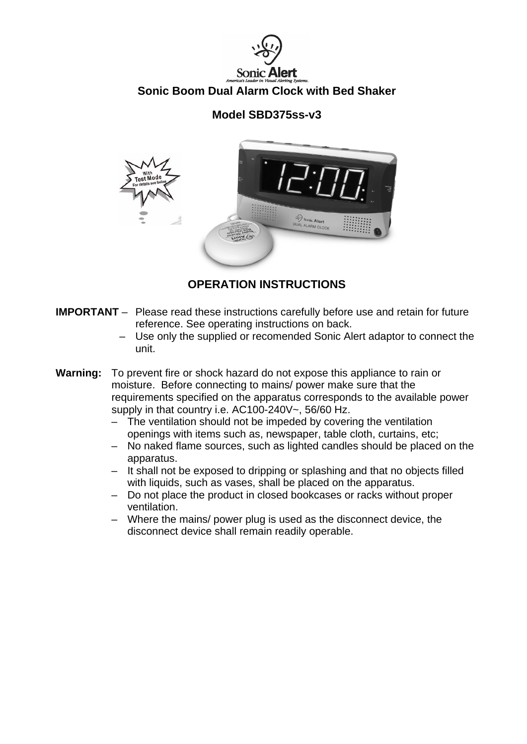

## **Model SBD375ss-v3**



# **OPERATION INSTRUCTIONS**

- **IMPORTANT**  Please read these instructions carefully before use and retain for future reference. See operating instructions on back.
	- Use only the supplied or recomended Sonic Alert adaptor to connect the unit.
- **Warning:** To prevent fire or shock hazard do not expose this appliance to rain or moisture. Before connecting to mains/ power make sure that the requirements specified on the apparatus corresponds to the available power supply in that country i.e. AC100-240V~, 56/60 Hz.
	- The ventilation should not be impeded by covering the ventilation openings with items such as, newspaper, table cloth, curtains, etc;
	- No naked flame sources, such as lighted candles should be placed on the apparatus.
	- It shall not be exposed to dripping or splashing and that no objects filled with liquids, such as vases, shall be placed on the apparatus.
	- Do not place the product in closed bookcases or racks without proper ventilation.
	- Where the mains/ power plug is used as the disconnect device, the disconnect device shall remain readily operable.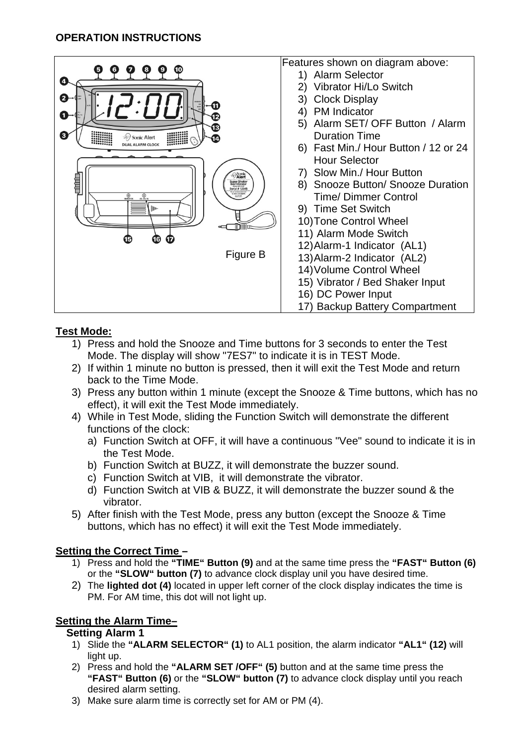| 0<br>0<br>❸<br>Sonic Alert<br><b>DUAL ALARM CLOCK</b><br><b><i>Dionic</i></b><br><b><i>Alert</i></b><br>昌目<br><b>Super Shake</b><br>Bed Vibrator<br>Serial #12345<br>2VDC 05 AMP<br>$^{\circ}$<br>$^{\circ}$<br>œ<br>Figure B | Features shown on diagram above:<br>1) Alarm Selector<br>Vibrator Hi/Lo Switch<br><b>Clock Display</b><br>3)<br><b>PM</b> Indicator<br>Alarm SET/ OFF Button / Alarm<br>5)<br><b>Duration Time</b><br>6) Fast Min./ Hour Button / 12 or 24<br><b>Hour Selector</b><br>Slow Min./ Hour Button<br>8) Snooze Button/ Snooze Duration<br><b>Time/Dimmer Control</b><br>9) Time Set Switch<br>10) Tone Control Wheel<br>11) Alarm Mode Switch<br>12) Alarm-1 Indicator (AL1)<br>13) Alarm-2 Indicator (AL2)<br>14) Volume Control Wheel |
|-------------------------------------------------------------------------------------------------------------------------------------------------------------------------------------------------------------------------------|------------------------------------------------------------------------------------------------------------------------------------------------------------------------------------------------------------------------------------------------------------------------------------------------------------------------------------------------------------------------------------------------------------------------------------------------------------------------------------------------------------------------------------|
|                                                                                                                                                                                                                               | 15) Vibrator / Bed Shaker Input<br>16) DC Power Input<br>17) Backup Battery Compartment                                                                                                                                                                                                                                                                                                                                                                                                                                            |

## **Test Mode:**

- 1) Press and hold the Snooze and Time buttons for 3 seconds to enter the Test Mode. The display will show "7ES7" to indicate it is in TEST Mode.
- 2) If within 1 minute no button is pressed, then it will exit the Test Mode and return back to the Time Mode.
- 3) Press any button within 1 minute (except the Snooze & Time buttons, which has no effect), it will exit the Test Mode immediately.
- 4) While in Test Mode, sliding the Function Switch will demonstrate the different functions of the clock:
	- a) Function Switch at OFF, it will have a continuous "Vee" sound to indicate it is in the Test Mode.
	- b) Function Switch at BUZZ, it will demonstrate the buzzer sound.
	- c) Function Switch at VIB, it will demonstrate the vibrator.
	- d) Function Switch at VIB & BUZZ, it will demonstrate the buzzer sound & the vibrator.
- 5) After finish with the Test Mode, press any button (except the Snooze & Time buttons, which has no effect) it will exit the Test Mode immediately.

## **Setting the Correct Time –**

- 1) Press and hold the **"TIME" Button (9)** and at the same time press the **"FAST" Button (6)**  or the **"SLOW" button (7)** to advance clock display unil you have desired time.
- 2) The **lighted dot (4)** located in upper left corner of the clock display indicates the time is PM. For AM time, this dot will not light up.

# **Setting the Alarm Time–**

## **Setting Alarm 1**

- 1) Slide the **"ALARM SELECTOR" (1)** to AL1 position, the alarm indicator **"AL1" (12)** will light up.
- 2) Press and hold the **"ALARM SET /OFF" (5)** button and at the same time press the **"FAST" Button (6)** or the **"SLOW" button (7)** to advance clock display until you reach desired alarm setting.
- 3) Make sure alarm time is correctly set for AM or PM (4).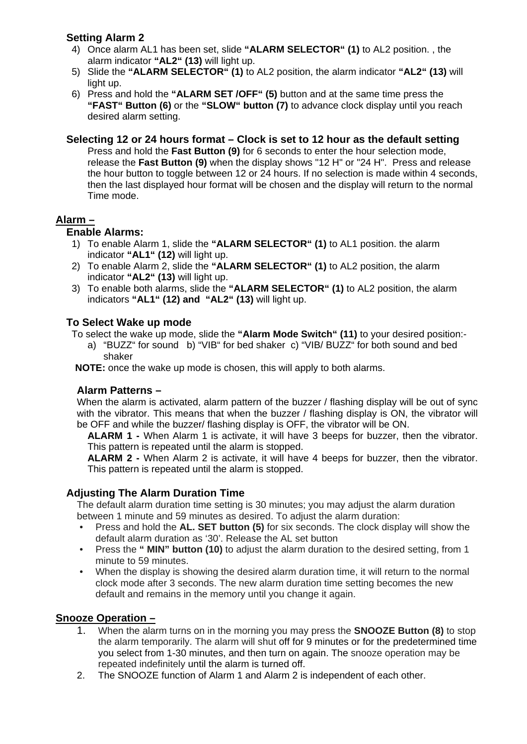## **Setting Alarm 2**

- 4) Once alarm AL1 has been set, slide **"ALARM SELECTOR" (1)** to AL2 position. , the alarm indicator **"AL2" (13)** will light up.
- 5) Slide the **"ALARM SELECTOR" (1)** to AL2 position, the alarm indicator **"AL2" (13)** will light up.
- 6) Press and hold the **"ALARM SET /OFF" (5)** button and at the same time press the **"FAST" Button (6)** or the **"SLOW" button (7)** to advance clock display until you reach desired alarm setting.

#### **Selecting 12 or 24 hours format – Clock is set to 12 hour as the default setting**

Press and hold the **Fast Button (9)** for 6 seconds to enter the hour selection mode, release the **Fast Button (9)** when the display shows "12 H" or "24 H". Press and release the hour button to toggle between 12 or 24 hours. If no selection is made within 4 seconds, then the last displayed hour format will be chosen and the display will return to the normal Time mode.

## **Alarm –**

### **Enable Alarms:**

- 1) To enable Alarm 1, slide the **"ALARM SELECTOR" (1)** to AL1 position. the alarm indicator **"AL1" (12)** will light up.
- 2) To enable Alarm 2, slide the **"ALARM SELECTOR" (1)** to AL2 position, the alarm indicator **"AL2" (13)** will light up.
- 3) To enable both alarms, slide the **"ALARM SELECTOR" (1)** to AL2 position, the alarm indicators **"AL1" (12) and "AL2" (13)** will light up.

### **To Select Wake up mode**

To select the wake up mode, slide the **"Alarm Mode Switch" (11)** to your desired position:-

a) "BUZZ" for sound b) "VIB" for bed shaker c) "VIB/ BUZZ" for both sound and bed shaker

**NOTE:** once the wake up mode is chosen, this will apply to both alarms.

### **Alarm Patterns –**

When the alarm is activated, alarm pattern of the buzzer / flashing display will be out of sync with the vibrator. This means that when the buzzer / flashing display is ON, the vibrator will be OFF and while the buzzer/ flashing display is OFF, the vibrator will be ON.

**ALARM 1 -** When Alarm 1 is activate, it will have 3 beeps for buzzer, then the vibrator. This pattern is repeated until the alarm is stopped.

**ALARM 2 -** When Alarm 2 is activate, it will have 4 beeps for buzzer, then the vibrator. This pattern is repeated until the alarm is stopped.

## **Adjusting The Alarm Duration Time**

The default alarm duration time setting is 30 minutes; you may adjust the alarm duration between 1 minute and 59 minutes as desired. To adjust the alarm duration:

- Press and hold the **AL. SET button (5)** for six seconds. The clock display will show the default alarm duration as '30'. Release the AL set button
- Press the **" MIN" button (10)** to adjust the alarm duration to the desired setting, from 1 minute to 59 minutes.
- When the display is showing the desired alarm duration time, it will return to the normal clock mode after 3 seconds. The new alarm duration time setting becomes the new default and remains in the memory until you change it again.

### **Snooze Operation –**

- 1. When the alarm turns on in the morning you may press the **SNOOZE Button (8)** to stop the alarm temporarily. The alarm will shut off for 9 minutes or for the predetermined time you select from 1-30 minutes, and then turn on again. The snooze operation may be repeated indefinitely until the alarm is turned off.
- 2. The SNOOZE function of Alarm 1 and Alarm 2 is independent of each other.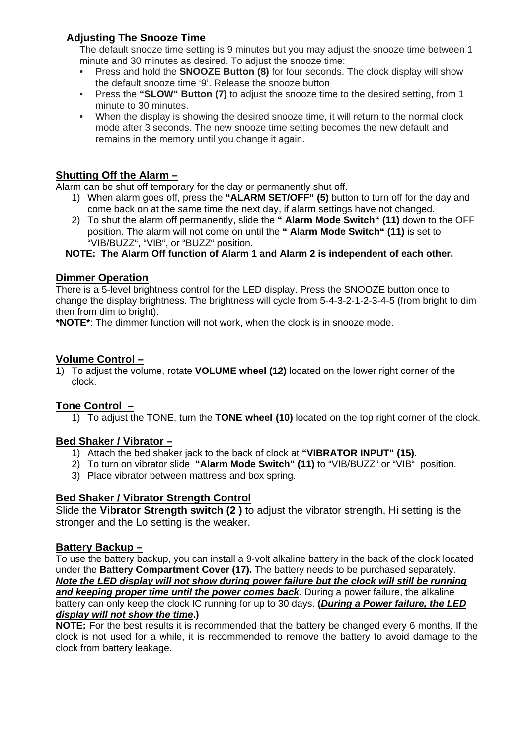## **Adjusting The Snooze Time**

The default snooze time setting is 9 minutes but you may adjust the snooze time between 1 minute and 30 minutes as desired. To adjust the snooze time:

- Press and hold the **SNOOZE Button (8)** for four seconds. The clock display will show the default snooze time '9'. Release the snooze button
- Press the **"SLOW" Button (7)** to adjust the snooze time to the desired setting, from 1 minute to 30 minutes.
- When the display is showing the desired snooze time, it will return to the normal clock mode after 3 seconds. The new snooze time setting becomes the new default and remains in the memory until you change it again.

## **Shutting Off the Alarm –**

Alarm can be shut off temporary for the day or permanently shut off.

- 1) When alarm goes off, press the **"ALARM SET/OFF" (5)** button to turn off for the day and come back on at the same time the next day, if alarm settings have not changed.
- 2) To shut the alarm off permanently, slide the **" Alarm Mode Switch" (11)** down to the OFF position. The alarm will not come on until the **" Alarm Mode Switch" (11)** is set to "VIB/BUZZ", "VIB", or "BUZZ" position.

**NOTE: The Alarm Off function of Alarm 1 and Alarm 2 is independent of each other.** 

### **Dimmer Operation**

There is a 5-level brightness control for the LED display. Press the SNOOZE button once to change the display brightness. The brightness will cycle from 5-4-3-2-1-2-3-4-5 (from bright to dim then from dim to bright).

**\*NOTE\***: The dimmer function will not work, when the clock is in snooze mode.

### **Volume Control –**

1) To adjust the volume, rotate **VOLUME wheel (12)** located on the lower right corner of the clock.

### **Tone Control –**

1) To adjust the TONE, turn the **TONE wheel (10)** located on the top right corner of the clock.

### **Bed Shaker / Vibrator –**

- 1) Attach the bed shaker jack to the back of clock at **"VIBRATOR INPUT" (15)**.
- 2) To turn on vibrator slide **"Alarm Mode Switch" (11)** to "VIB/BUZZ" or "VIB" position.
- 3) Place vibrator between mattress and box spring.

### **Bed Shaker / Vibrator Strength Control**

Slide the **Vibrator Strength switch (2 )** to adjust the vibrator strength, Hi setting is the stronger and the Lo setting is the weaker.

### **Battery Backup –**

To use the battery backup, you can install a 9-volt alkaline battery in the back of the clock located under the **Battery Compartment Cover (17).** The battery needs to be purchased separately. *Note the LED display will not show during power failure but the clock will still be running and keeping proper time until the power comes back***.** During a power failure, the alkaline battery can only keep the clock IC running for up to 30 days. **(***During a Power failure, the LED display will not show the time***.)** 

**NOTE:** For the best results it is recommended that the battery be changed every 6 months. If the clock is not used for a while, it is recommended to remove the battery to avoid damage to the clock from battery leakage.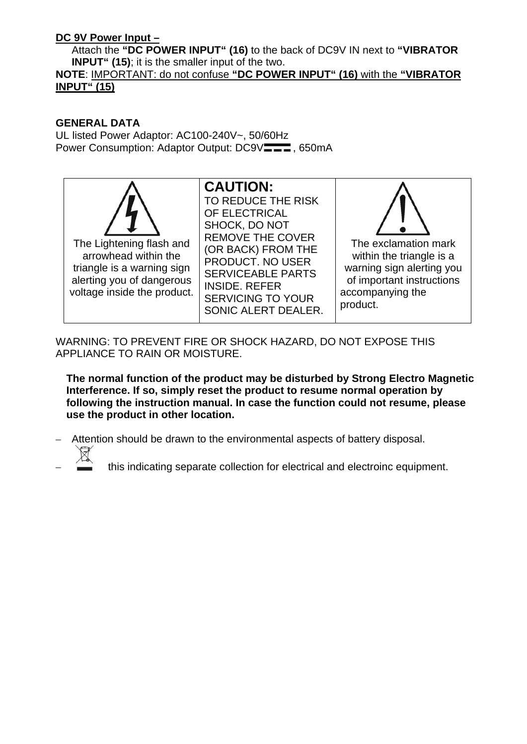## **DC 9V Power Input –**

Attach the **"DC POWER INPUT" (16)** to the back of DC9V IN next to **"VIBRATOR INPUT" (15)**; it is the smaller input of the two.

## **NOTE**: IMPORTANT: do not confuse **"DC POWER INPUT" (16)** with the **"VIBRATOR INPUT" (15)**

## **GENERAL DATA**

UL listed Power Adaptor: AC100-240V~, 50/60Hz Power Consumption: Adaptor Output: DC9V<sub>———</sub>, 650mA



WARNING: TO PREVENT FIRE OR SHOCK HAZARD, DO NOT EXPOSE THIS APPLIANCE TO RAIN OR MOISTURE.

**The normal function of the product may be disturbed by Strong Electro Magnetic Interference. If so, simply reset the product to resume normal operation by following the instruction manual. In case the function could not resume, please use the product in other location.**

- Attention should be drawn to the environmental aspects of battery disposal.
	- this indicating separate collection for electrical and electroinc equipment.